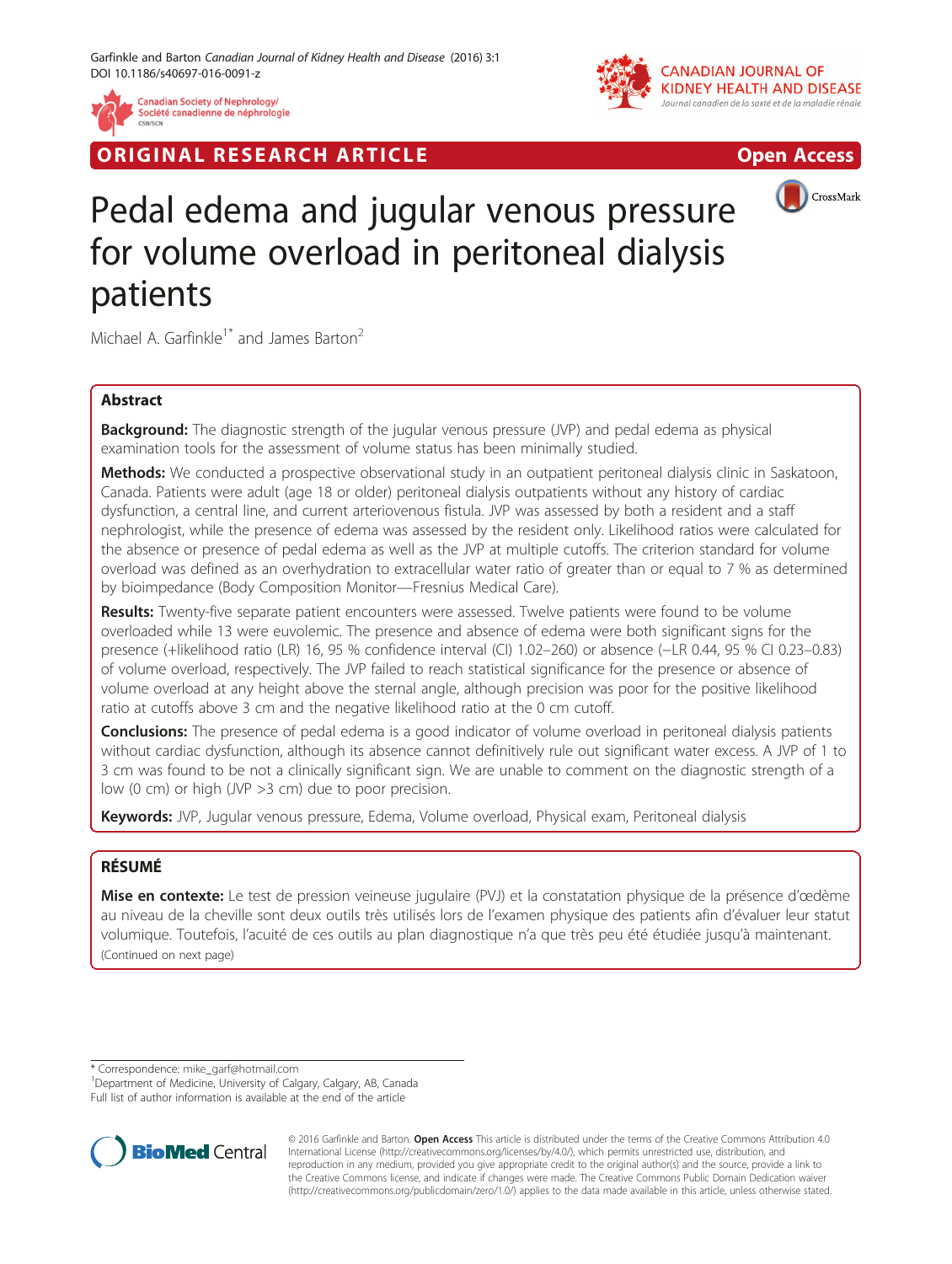

**RIGINAL RESEARCH ARTICLE CONSUMING ACCESS** 



CrossMark

# Pedal edema and jugular venous pressure for volume overload in peritoneal dialysis patients

Michael A. Garfinkle<sup>1\*</sup> and James Barton<sup>2</sup>

# Abstract

**Background:** The diagnostic strength of the jugular venous pressure (JVP) and pedal edema as physical examination tools for the assessment of volume status has been minimally studied.

Methods: We conducted a prospective observational study in an outpatient peritoneal dialysis clinic in Saskatoon, Canada. Patients were adult (age 18 or older) peritoneal dialysis outpatients without any history of cardiac dysfunction, a central line, and current arteriovenous fistula. JVP was assessed by both a resident and a staff nephrologist, while the presence of edema was assessed by the resident only. Likelihood ratios were calculated for the absence or presence of pedal edema as well as the JVP at multiple cutoffs. The criterion standard for volume overload was defined as an overhydration to extracellular water ratio of greater than or equal to 7 % as determined by bioimpedance (Body Composition Monitor—Fresnius Medical Care).

Results: Twenty-five separate patient encounters were assessed. Twelve patients were found to be volume overloaded while 13 were euvolemic. The presence and absence of edema were both significant signs for the presence (+likelihood ratio (LR) 16, 95 % confidence interval (CI) 1.02–260) or absence (−LR 0.44, 95 % CI 0.23–0.83) of volume overload, respectively. The JVP failed to reach statistical significance for the presence or absence of volume overload at any height above the sternal angle, although precision was poor for the positive likelihood ratio at cutoffs above 3 cm and the negative likelihood ratio at the 0 cm cutoff.

Conclusions: The presence of pedal edema is a good indicator of volume overload in peritoneal dialysis patients without cardiac dysfunction, although its absence cannot definitively rule out significant water excess. A JVP of 1 to 3 cm was found to be not a clinically significant sign. We are unable to comment on the diagnostic strength of a low (0 cm) or high (JVP >3 cm) due to poor precision.

Keywords: JVP, Jugular venous pressure, Edema, Volume overload, Physical exam, Peritoneal dialysis

# RÉSUMÉ

Mise en contexte: Le test de pression veineuse jugulaire (PVJ) et la constatation physique de la présence d'œdème au niveau de la cheville sont deux outils très utilisés lors de l'examen physique des patients afin d'évaluer leur statut volumique. Toutefois, l'acuité de ces outils au plan diagnostique n'a que très peu été étudiée jusqu'à maintenant. (Continued on next page)

\* Correspondence: [mike\\_garf@hotmail.com](mailto:mike_garf@hotmail.com) <sup>1</sup>

Department of Medicine, University of Calgary, Calgary, AB, Canada

Full list of author information is available at the end of the article



© 2016 Garfinkle and Barton. Open Access This article is distributed under the terms of the Creative Commons Attribution 4.0 International License [\(http://creativecommons.org/licenses/by/4.0/](http://creativecommons.org/licenses/by/4.0/)), which permits unrestricted use, distribution, and reproduction in any medium, provided you give appropriate credit to the original author(s) and the source, provide a link to the Creative Commons license, and indicate if changes were made. The Creative Commons Public Domain Dedication waiver [\(http://creativecommons.org/publicdomain/zero/1.0/](http://creativecommons.org/publicdomain/zero/1.0/)) applies to the data made available in this article, unless otherwise stated.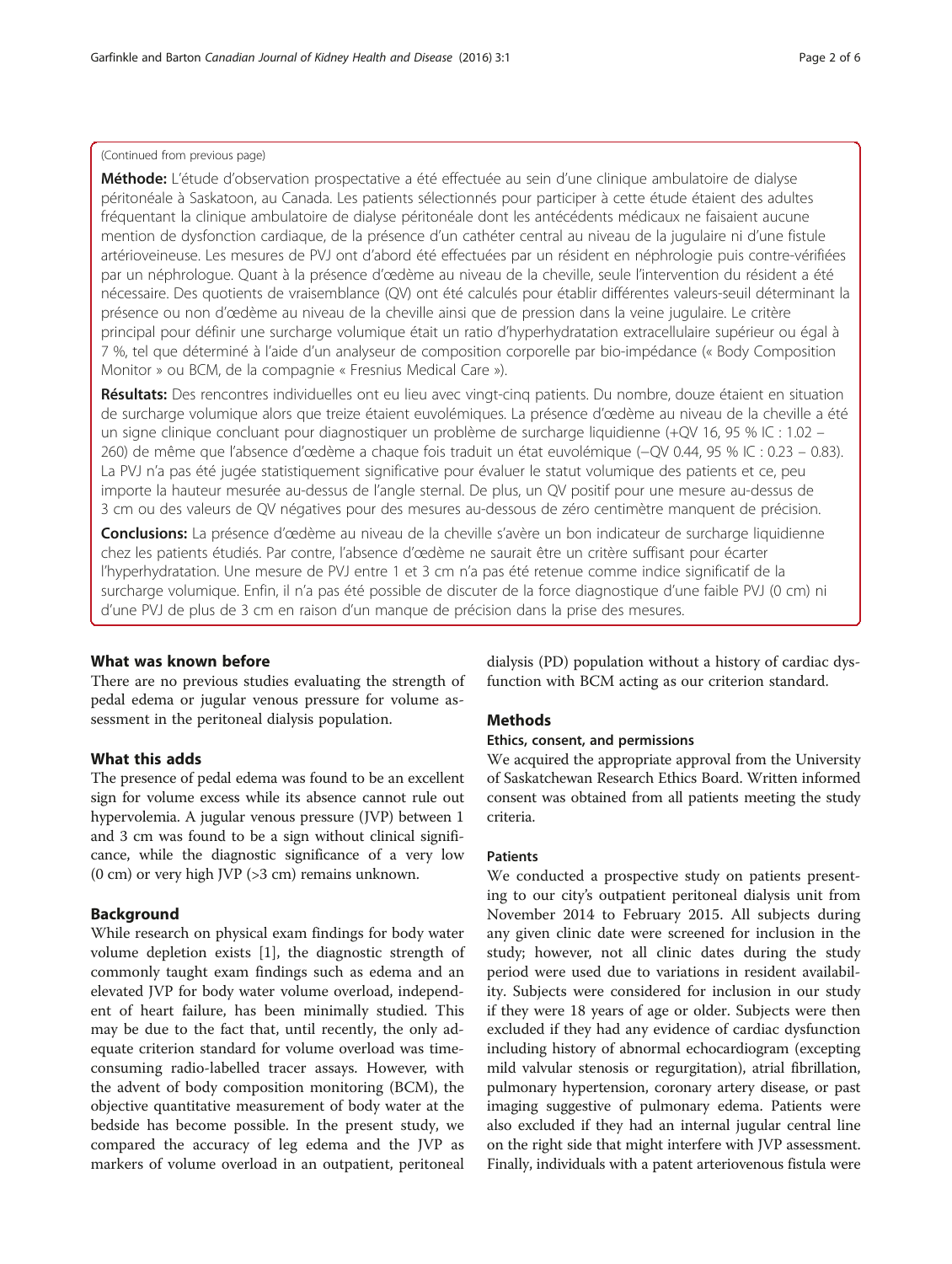# (Continued from previous page)

Méthode: L'étude d'observation prospectative a été effectuée au sein d'une clinique ambulatoire de dialyse péritonéale à Saskatoon, au Canada. Les patients sélectionnés pour participer à cette étude étaient des adultes fréquentant la clinique ambulatoire de dialyse péritonéale dont les antécédents médicaux ne faisaient aucune mention de dysfonction cardiaque, de la présence d'un cathéter central au niveau de la jugulaire ni d'une fistule artérioveineuse. Les mesures de PVJ ont d'abord été effectuées par un résident en néphrologie puis contre-vérifiées par un néphrologue. Quant à la présence d'œdème au niveau de la cheville, seule l'intervention du résident a été nécessaire. Des quotients de vraisemblance (QV) ont été calculés pour établir différentes valeurs-seuil déterminant la présence ou non d'œdème au niveau de la cheville ainsi que de pression dans la veine jugulaire. Le critère principal pour définir une surcharge volumique était un ratio d'hyperhydratation extracellulaire supérieur ou égal à 7 %, tel que déterminé à l'aide d'un analyseur de composition corporelle par bio-impédance (« Body Composition Monitor » ou BCM, de la compagnie « Fresnius Medical Care »).

Résultats: Des rencontres individuelles ont eu lieu avec vingt-cing patients. Du nombre, douze étaient en situation de surcharge volumique alors que treize étaient euvolémiques. La présence d'œdème au niveau de la cheville a été un signe clinique concluant pour diagnostiquer un problème de surcharge liquidienne (+QV 16, 95 % IC : 1.02 – 260) de même que l'absence d'œdème a chaque fois traduit un état euvolémique (−QV 0.44, 95 % IC : 0.23 – 0.83). La PVJ n'a pas été jugée statistiquement significative pour évaluer le statut volumique des patients et ce, peu importe la hauteur mesurée au-dessus de l'angle sternal. De plus, un QV positif pour une mesure au-dessus de 3 cm ou des valeurs de QV négatives pour des mesures au-dessous de zéro centimètre manquent de précision.

**Conclusions:** La présence d'œdème au niveau de la cheville s'avère un bon indicateur de surcharge liquidienne chez les patients étudiés. Par contre, l'absence d'œdème ne saurait être un critère suffisant pour écarter l'hyperhydratation. Une mesure de PVJ entre 1 et 3 cm n'a pas été retenue comme indice significatif de la surcharge volumique. Enfin, il n'a pas été possible de discuter de la force diagnostique d'une faible PVJ (0 cm) ni d'une PVJ de plus de 3 cm en raison d'un manque de précision dans la prise des mesures.

# What was known before

There are no previous studies evaluating the strength of pedal edema or jugular venous pressure for volume assessment in the peritoneal dialysis population.

# What this adds

The presence of pedal edema was found to be an excellent sign for volume excess while its absence cannot rule out hypervolemia. A jugular venous pressure (JVP) between 1 and 3 cm was found to be a sign without clinical significance, while the diagnostic significance of a very low (0 cm) or very high JVP (>3 cm) remains unknown.

# Background

While research on physical exam findings for body water volume depletion exists [\[1\]](#page-5-0), the diagnostic strength of commonly taught exam findings such as edema and an elevated JVP for body water volume overload, independent of heart failure, has been minimally studied. This may be due to the fact that, until recently, the only adequate criterion standard for volume overload was timeconsuming radio-labelled tracer assays. However, with the advent of body composition monitoring (BCM), the objective quantitative measurement of body water at the bedside has become possible. In the present study, we compared the accuracy of leg edema and the JVP as markers of volume overload in an outpatient, peritoneal

dialysis (PD) population without a history of cardiac dysfunction with BCM acting as our criterion standard.

# Methods

# Ethics, consent, and permissions

We acquired the appropriate approval from the University of Saskatchewan Research Ethics Board. Written informed consent was obtained from all patients meeting the study criteria.

# Patients

We conducted a prospective study on patients presenting to our city's outpatient peritoneal dialysis unit from November 2014 to February 2015. All subjects during any given clinic date were screened for inclusion in the study; however, not all clinic dates during the study period were used due to variations in resident availability. Subjects were considered for inclusion in our study if they were 18 years of age or older. Subjects were then excluded if they had any evidence of cardiac dysfunction including history of abnormal echocardiogram (excepting mild valvular stenosis or regurgitation), atrial fibrillation, pulmonary hypertension, coronary artery disease, or past imaging suggestive of pulmonary edema. Patients were also excluded if they had an internal jugular central line on the right side that might interfere with JVP assessment. Finally, individuals with a patent arteriovenous fistula were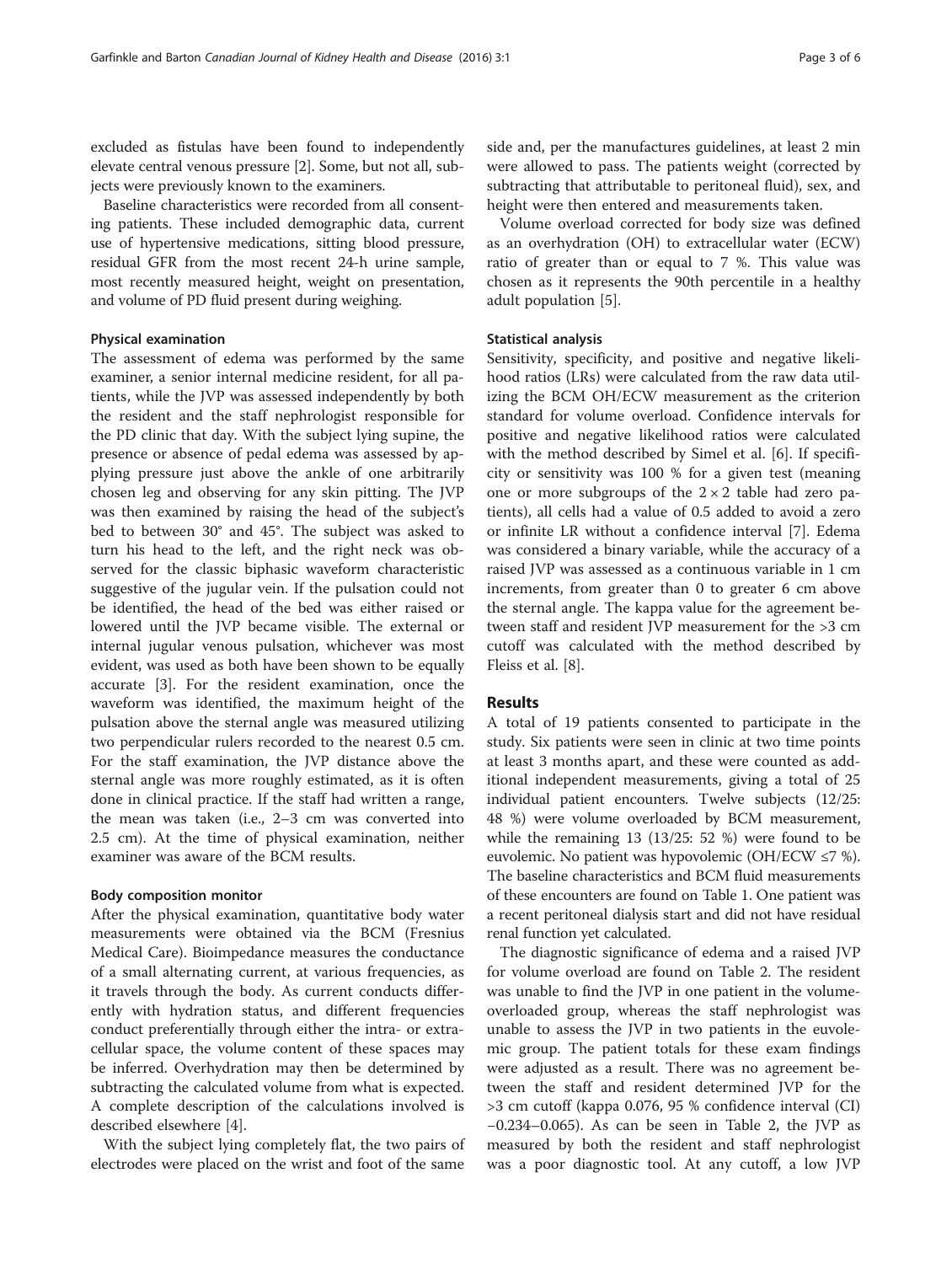excluded as fistulas have been found to independently elevate central venous pressure [\[2\]](#page-5-0). Some, but not all, subjects were previously known to the examiners.

Baseline characteristics were recorded from all consenting patients. These included demographic data, current use of hypertensive medications, sitting blood pressure, residual GFR from the most recent 24-h urine sample, most recently measured height, weight on presentation, and volume of PD fluid present during weighing.

#### Physical examination

The assessment of edema was performed by the same examiner, a senior internal medicine resident, for all patients, while the JVP was assessed independently by both the resident and the staff nephrologist responsible for the PD clinic that day. With the subject lying supine, the presence or absence of pedal edema was assessed by applying pressure just above the ankle of one arbitrarily chosen leg and observing for any skin pitting. The JVP was then examined by raising the head of the subject's bed to between 30° and 45°. The subject was asked to turn his head to the left, and the right neck was observed for the classic biphasic waveform characteristic suggestive of the jugular vein. If the pulsation could not be identified, the head of the bed was either raised or lowered until the JVP became visible. The external or internal jugular venous pulsation, whichever was most evident, was used as both have been shown to be equally accurate [\[3\]](#page-5-0). For the resident examination, once the waveform was identified, the maximum height of the pulsation above the sternal angle was measured utilizing two perpendicular rulers recorded to the nearest 0.5 cm. For the staff examination, the JVP distance above the sternal angle was more roughly estimated, as it is often done in clinical practice. If the staff had written a range, the mean was taken (i.e., 2–3 cm was converted into 2.5 cm). At the time of physical examination, neither examiner was aware of the BCM results.

#### Body composition monitor

After the physical examination, quantitative body water measurements were obtained via the BCM (Fresnius Medical Care). Bioimpedance measures the conductance of a small alternating current, at various frequencies, as it travels through the body. As current conducts differently with hydration status, and different frequencies conduct preferentially through either the intra- or extracellular space, the volume content of these spaces may be inferred. Overhydration may then be determined by subtracting the calculated volume from what is expected. A complete description of the calculations involved is described elsewhere [\[4](#page-5-0)].

With the subject lying completely flat, the two pairs of electrodes were placed on the wrist and foot of the same side and, per the manufactures guidelines, at least 2 min were allowed to pass. The patients weight (corrected by subtracting that attributable to peritoneal fluid), sex, and height were then entered and measurements taken.

Volume overload corrected for body size was defined as an overhydration (OH) to extracellular water (ECW) ratio of greater than or equal to 7 %. This value was chosen as it represents the 90th percentile in a healthy adult population [\[5](#page-5-0)].

#### Statistical analysis

Sensitivity, specificity, and positive and negative likelihood ratios (LRs) were calculated from the raw data utilizing the BCM OH/ECW measurement as the criterion standard for volume overload. Confidence intervals for positive and negative likelihood ratios were calculated with the method described by Simel et al. [[6\]](#page-5-0). If specificity or sensitivity was 100 % for a given test (meaning one or more subgroups of the  $2 \times 2$  table had zero patients), all cells had a value of 0.5 added to avoid a zero or infinite LR without a confidence interval [[7\]](#page-5-0). Edema was considered a binary variable, while the accuracy of a raised JVP was assessed as a continuous variable in 1 cm increments, from greater than 0 to greater 6 cm above the sternal angle. The kappa value for the agreement between staff and resident JVP measurement for the >3 cm cutoff was calculated with the method described by Fleiss et al. [[8](#page-5-0)].

#### Results

A total of 19 patients consented to participate in the study. Six patients were seen in clinic at two time points at least 3 months apart, and these were counted as additional independent measurements, giving a total of 25 individual patient encounters. Twelve subjects (12/25: 48 %) were volume overloaded by BCM measurement, while the remaining 13 (13/25: 52 %) were found to be euvolemic. No patient was hypovolemic (OH/ECW ≤7 %). The baseline characteristics and BCM fluid measurements of these encounters are found on Table [1.](#page-3-0) One patient was a recent peritoneal dialysis start and did not have residual renal function yet calculated.

The diagnostic significance of edema and a raised JVP for volume overload are found on Table [2.](#page-3-0) The resident was unable to find the JVP in one patient in the volumeoverloaded group, whereas the staff nephrologist was unable to assess the JVP in two patients in the euvolemic group. The patient totals for these exam findings were adjusted as a result. There was no agreement between the staff and resident determined JVP for the >3 cm cutoff (kappa 0.076, 95 % confidence interval (CI) −0.234–0.065). As can be seen in Table [2,](#page-3-0) the JVP as measured by both the resident and staff nephrologist was a poor diagnostic tool. At any cutoff, a low JVP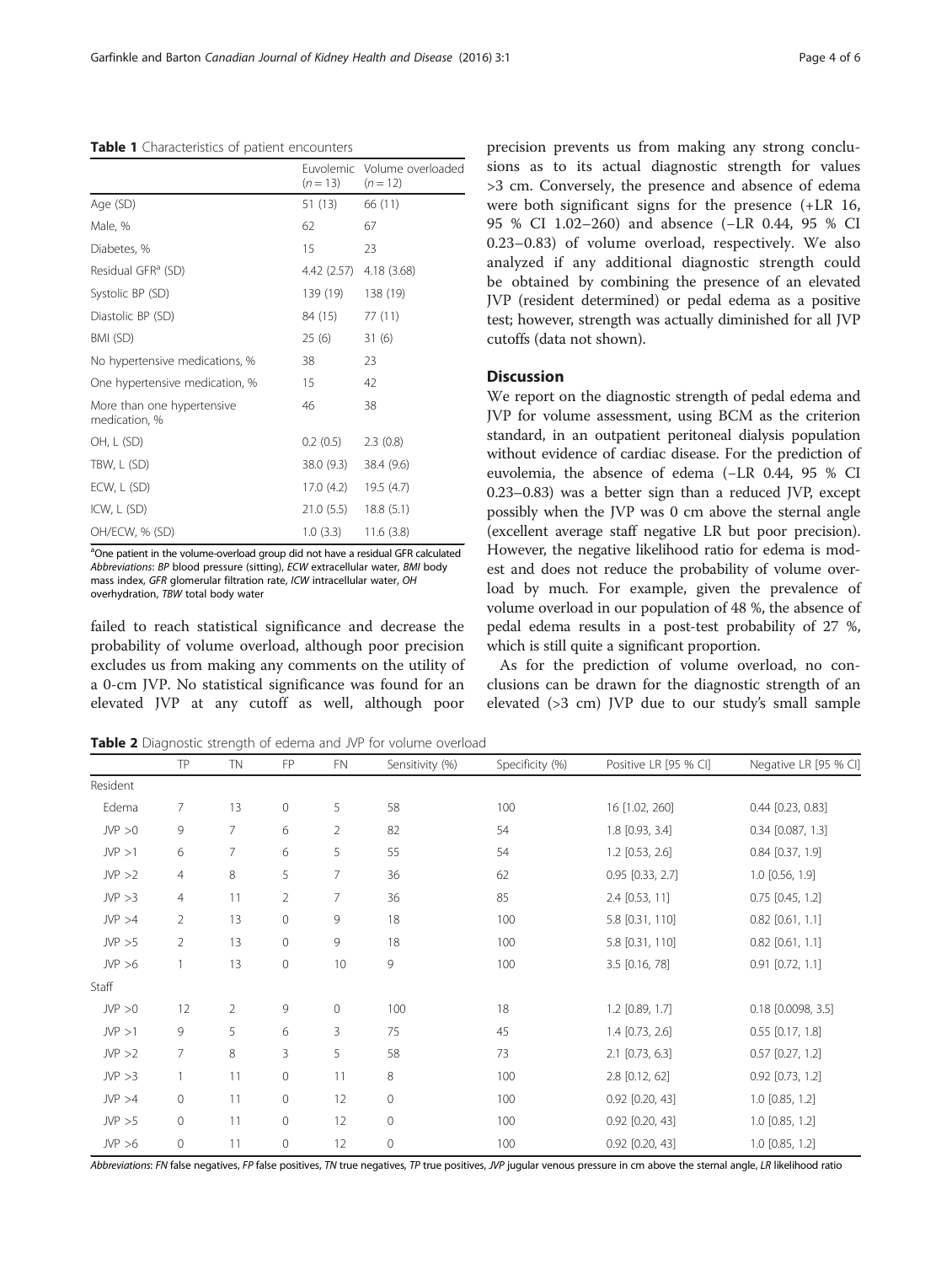<span id="page-3-0"></span>Table 1 Characteristics of patient encounters

|                                             | $(n = 13)$  | Euvolemic Volume overloaded<br>$(n = 12)$ |
|---------------------------------------------|-------------|-------------------------------------------|
| Age (SD)                                    | 51 (13)     | 66 (11)                                   |
| Male, %                                     | 62          | 67                                        |
| Diabetes, %                                 | 15          | 23                                        |
| Residual GFR <sup>a</sup> (SD)              | 4.42 (2.57) | 4.18(3.68)                                |
| Systolic BP (SD)                            | 139 (19)    | 138 (19)                                  |
| Diastolic BP (SD)                           | 84 (15)     | 77(11)                                    |
| BMI (SD)                                    | 25(6)       | 31 (6)                                    |
| No hypertensive medications, %              | 38          | 23                                        |
| One hypertensive medication, %              | 15          | 42                                        |
| More than one hypertensive<br>medication, % | 46          | 38                                        |
| OH, L (SD)                                  | 0.2(0.5)    | 2.3(0.8)                                  |
| TBW, L (SD)                                 | 38.0 (9.3)  | 38.4 (9.6)                                |
| ECW, L (SD)                                 | 17.0 (4.2)  | 19.5 (4.7)                                |
| ICW, $L(SD)$                                | 21.0 (5.5)  | 18.8(5.1)                                 |
| OH/ECW, % (SD)                              | 1.0 (3.3)   | 11.6(3.8)                                 |

<sup>a</sup>One patient in the volume-overload group did not have a residual GFR calculated Abbreviations: BP blood pressure (sitting), ECW extracellular water, BMI body mass index, GFR glomerular filtration rate, ICW intracellular water, OH overhydration, TBW total body water

failed to reach statistical significance and decrease the probability of volume overload, although poor precision excludes us from making any comments on the utility of a 0-cm JVP. No statistical significance was found for an elevated JVP at any cutoff as well, although poor

Table 2 Diagnostic strength of edema and JVP for volume overload

precision prevents us from making any strong conclusions as to its actual diagnostic strength for values >3 cm. Conversely, the presence and absence of edema were both significant signs for the presence (+LR 16, 95 % CI 1.02–260) and absence (−LR 0.44, 95 % CI 0.23–0.83) of volume overload, respectively. We also analyzed if any additional diagnostic strength could be obtained by combining the presence of an elevated JVP (resident determined) or pedal edema as a positive test; however, strength was actually diminished for all JVP cutoffs (data not shown).

# Discussion

We report on the diagnostic strength of pedal edema and JVP for volume assessment, using BCM as the criterion standard, in an outpatient peritoneal dialysis population without evidence of cardiac disease. For the prediction of euvolemia, the absence of edema (−LR 0.44, 95 % CI 0.23–0.83) was a better sign than a reduced JVP, except possibly when the JVP was 0 cm above the sternal angle (excellent average staff negative LR but poor precision). However, the negative likelihood ratio for edema is modest and does not reduce the probability of volume overload by much. For example, given the prevalence of volume overload in our population of 48 %, the absence of pedal edema results in a post-test probability of 27 %, which is still quite a significant proportion.

As for the prediction of volume overload, no conclusions can be drawn for the diagnostic strength of an elevated (>3 cm) JVP due to our study's small sample

|          | TP                  | <b>TN</b>      | FP                  | <b>FN</b>      | Sensitivity (%) | Specificity (%) | Positive LR [95 % CI] | Negative LR [95 % CI] |
|----------|---------------------|----------------|---------------------|----------------|-----------------|-----------------|-----------------------|-----------------------|
| Resident |                     |                |                     |                |                 |                 |                       |                       |
| Edema    | $\overline{7}$      | 13             | $\mathsf{O}\xspace$ | 5              | 58              | 100             | 16 [1.02, 260]        | $0.44$ $[0.23, 0.83]$ |
| JVP > 0  | 9                   | 7              | 6                   | 2              | 82              | 54              | 1.8 [0.93, 3.4]       | $0.34$ [0.087, 1.3]   |
| JVP > 1  | 6                   | 7              | 6                   | 5              | 55              | 54              | 1.2 [0.53, 2.6]       | $0.84$ $[0.37, 1.9]$  |
| JVP > 2  | $\overline{4}$      | 8              | 5                   | $\overline{7}$ | 36              | 62              | $0.95$ $[0.33, 2.7]$  | $1.0$ [0.56, 1.9]     |
| JVP > 3  | $\overline{4}$      | 11             | $\overline{2}$      | 7              | 36              | 85              | 2.4 [0.53, 11]        | $0.75$ $[0.45, 1.2]$  |
| JVP > 4  | 2                   | 13             | $\mathsf{O}\xspace$ | 9              | 18              | 100             | 5.8 [0.31, 110]       | $0.82$ [0.61, 1.1]    |
| JVP > 5  | 2                   | 13             | $\circ$             | 9              | 18              | 100             | 5.8 [0.31, 110]       | $0.82$ [0.61, 1.1]    |
| JVP > 6  | 1                   | 13             | $\mathsf{O}\xspace$ | 10             | 9               | 100             | 3.5 [0.16, 78]        | $0.91$ $[0.72, 1.1]$  |
| Staff    |                     |                |                     |                |                 |                 |                       |                       |
| JVP > 0  | 12                  | $\overline{2}$ | 9                   | 0              | 100             | 18              | $1.2$ [0.89, 1.7]     | 0.18 [0.0098, 3.5]    |
| JVP > 1  | 9                   | 5              | 6                   | 3              | 75              | 45              | 1.4 [0.73, 2.6]       | $0.55$ $[0.17, 1.8]$  |
| JVP > 2  | 7                   | 8              | 3                   | 5              | 58              | 73              | $2.1$ [0.73, 6.3]     | $0.57$ $[0.27, 1.2]$  |
| JVP > 3  |                     | 11             | $\mathsf{O}\xspace$ | 11             | 8               | 100             | 2.8 [0.12, 62]        | $0.92$ $[0.73, 1.2]$  |
| JVP > 4  | $\mathsf{O}\xspace$ | 11             | 0                   | 12             | $\circ$         | 100             | $0.92$ $[0.20, 43]$   | $1.0$ [0.85, 1.2]     |
| JVP > 5  | $\circ$             | 11             | $\circ$             | 12             | $\mathbf{0}$    | 100             | $0.92$ $[0.20, 43]$   | $1.0$ [0.85, 1.2]     |
| JVP > 6  | 0                   | 11             | 0                   | 12             | $\mathbf 0$     | 100             | $0.92$ $[0.20, 43]$   | 1.0 [0.85, 1.2]       |

Abbreviations: FN false negatives, FP false positives, TN true negatives, TP true positives, JVP jugular venous pressure in cm above the sternal angle, LR likelihood ratio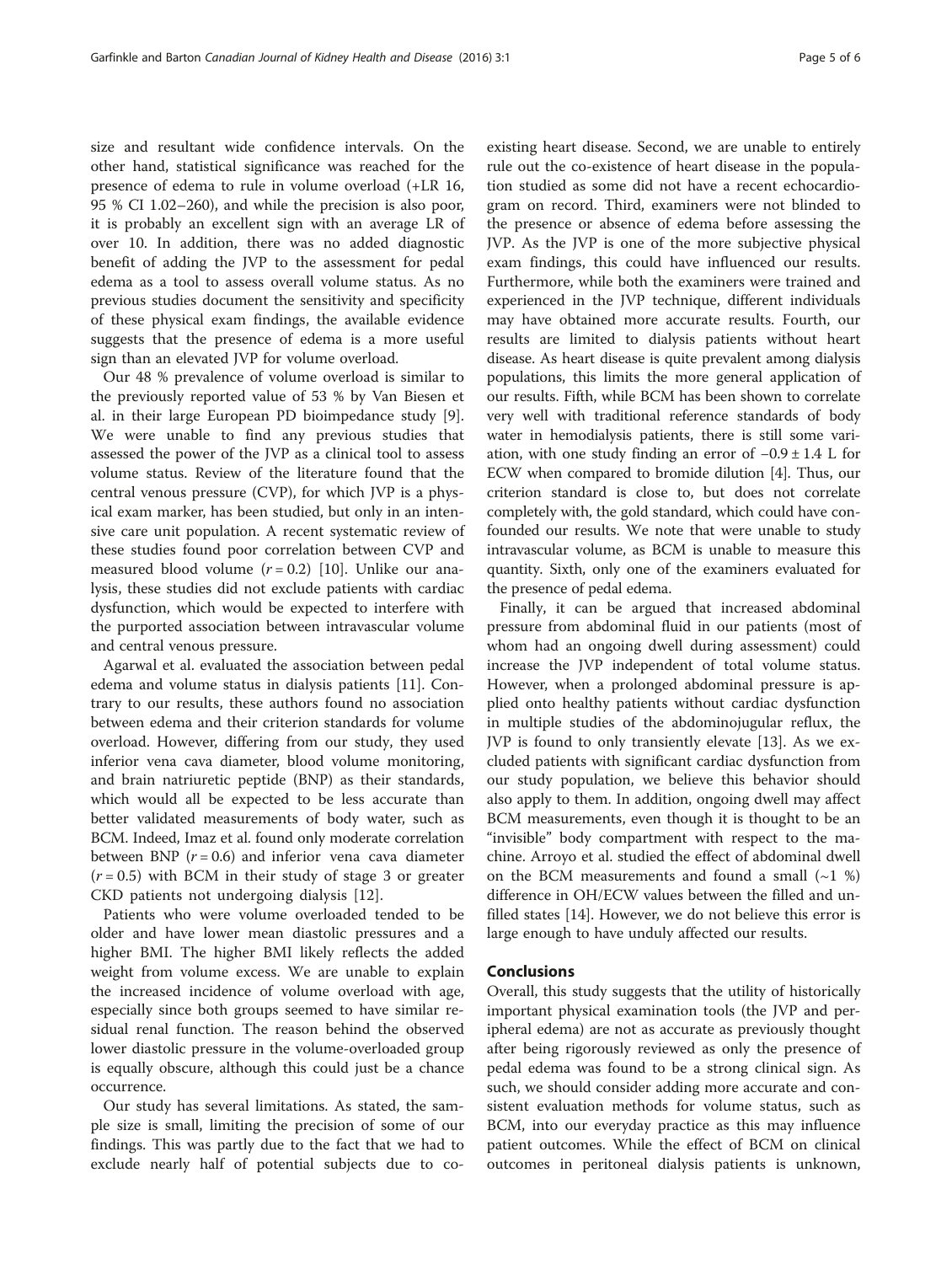size and resultant wide confidence intervals. On the other hand, statistical significance was reached for the presence of edema to rule in volume overload (+LR 16, 95 % CI 1.02–260), and while the precision is also poor, it is probably an excellent sign with an average LR of over 10. In addition, there was no added diagnostic benefit of adding the JVP to the assessment for pedal edema as a tool to assess overall volume status. As no previous studies document the sensitivity and specificity of these physical exam findings, the available evidence suggests that the presence of edema is a more useful sign than an elevated JVP for volume overload.

Our 48 % prevalence of volume overload is similar to the previously reported value of 53 % by Van Biesen et al. in their large European PD bioimpedance study [\[9](#page-5-0)]. We were unable to find any previous studies that assessed the power of the JVP as a clinical tool to assess volume status. Review of the literature found that the central venous pressure (CVP), for which JVP is a physical exam marker, has been studied, but only in an intensive care unit population. A recent systematic review of these studies found poor correlation between CVP and measured blood volume  $(r = 0.2)$  [[10](#page-5-0)]. Unlike our analysis, these studies did not exclude patients with cardiac dysfunction, which would be expected to interfere with the purported association between intravascular volume and central venous pressure.

Agarwal et al. evaluated the association between pedal edema and volume status in dialysis patients [[11\]](#page-5-0). Contrary to our results, these authors found no association between edema and their criterion standards for volume overload. However, differing from our study, they used inferior vena cava diameter, blood volume monitoring, and brain natriuretic peptide (BNP) as their standards, which would all be expected to be less accurate than better validated measurements of body water, such as BCM. Indeed, Imaz et al. found only moderate correlation between BNP  $(r = 0.6)$  and inferior vena cava diameter  $(r = 0.5)$  with BCM in their study of stage 3 or greater CKD patients not undergoing dialysis [[12](#page-5-0)].

Patients who were volume overloaded tended to be older and have lower mean diastolic pressures and a higher BMI. The higher BMI likely reflects the added weight from volume excess. We are unable to explain the increased incidence of volume overload with age, especially since both groups seemed to have similar residual renal function. The reason behind the observed lower diastolic pressure in the volume-overloaded group is equally obscure, although this could just be a chance occurrence.

Our study has several limitations. As stated, the sample size is small, limiting the precision of some of our findings. This was partly due to the fact that we had to exclude nearly half of potential subjects due to coexisting heart disease. Second, we are unable to entirely rule out the co-existence of heart disease in the population studied as some did not have a recent echocardiogram on record. Third, examiners were not blinded to the presence or absence of edema before assessing the JVP. As the JVP is one of the more subjective physical exam findings, this could have influenced our results. Furthermore, while both the examiners were trained and experienced in the JVP technique, different individuals may have obtained more accurate results. Fourth, our results are limited to dialysis patients without heart disease. As heart disease is quite prevalent among dialysis populations, this limits the more general application of our results. Fifth, while BCM has been shown to correlate very well with traditional reference standards of body water in hemodialysis patients, there is still some variation, with one study finding an error of  $-0.9 \pm 1.4$  L for ECW when compared to bromide dilution [\[4\]](#page-5-0). Thus, our criterion standard is close to, but does not correlate completely with, the gold standard, which could have confounded our results. We note that were unable to study intravascular volume, as BCM is unable to measure this quantity. Sixth, only one of the examiners evaluated for the presence of pedal edema.

Finally, it can be argued that increased abdominal pressure from abdominal fluid in our patients (most of whom had an ongoing dwell during assessment) could increase the JVP independent of total volume status. However, when a prolonged abdominal pressure is applied onto healthy patients without cardiac dysfunction in multiple studies of the abdominojugular reflux, the JVP is found to only transiently elevate [\[13\]](#page-5-0). As we excluded patients with significant cardiac dysfunction from our study population, we believe this behavior should also apply to them. In addition, ongoing dwell may affect BCM measurements, even though it is thought to be an "invisible" body compartment with respect to the machine. Arroyo et al. studied the effect of abdominal dwell on the BCM measurements and found a small  $(-1, %$ ) difference in OH/ECW values between the filled and unfilled states [[14\]](#page-5-0). However, we do not believe this error is large enough to have unduly affected our results.

#### Conclusions

Overall, this study suggests that the utility of historically important physical examination tools (the JVP and peripheral edema) are not as accurate as previously thought after being rigorously reviewed as only the presence of pedal edema was found to be a strong clinical sign. As such, we should consider adding more accurate and consistent evaluation methods for volume status, such as BCM, into our everyday practice as this may influence patient outcomes. While the effect of BCM on clinical outcomes in peritoneal dialysis patients is unknown,